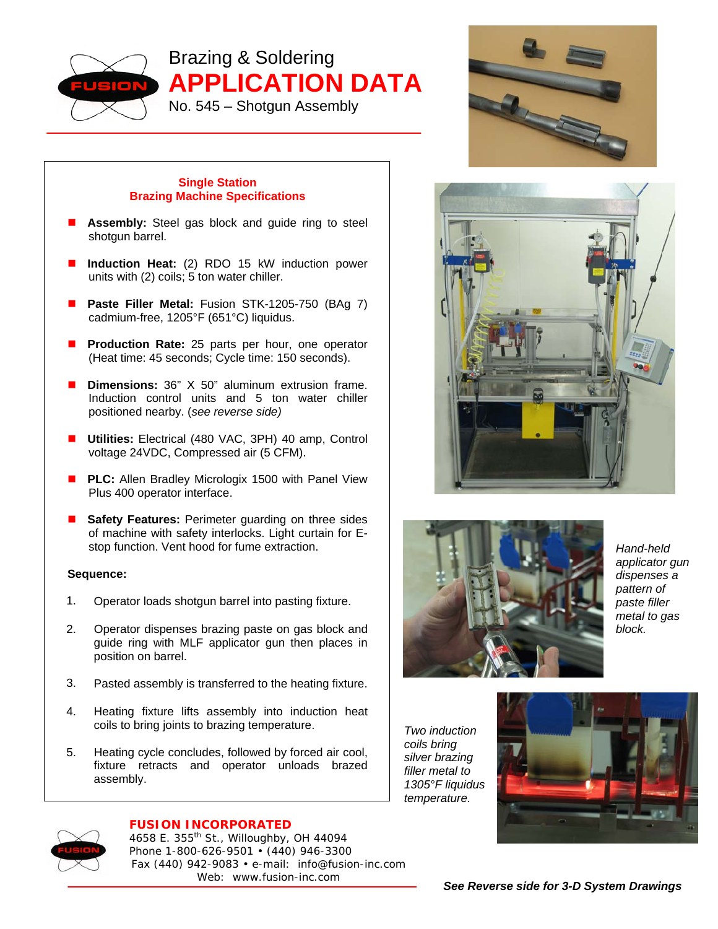

Brazing & Soldering **APPLICATION DATA**  No. 545 – Shotgun Assembly



## **Single Station Brazing Machine Specifications**

- **Assembly:** Steel gas block and guide ring to steel shotgun barrel.
- **Induction Heat:** (2) RDO 15 kW induction power units with (2) coils; 5 ton water chiller.
- Paste Filler Metal: Fusion STK-1205-750 (BAg 7) cadmium-free, 1205°F (651°C) liquidus.
- **Production Rate:** 25 parts per hour, one operator (Heat time: 45 seconds; Cycle time: 150 seconds).
- **Dimensions:** 36" X 50" aluminum extrusion frame. Induction control units and 5 ton water chiller positioned nearby. (*see reverse side)*
- **Utilities:** Electrical (480 VAC, 3PH) 40 amp, Control voltage 24VDC, Compressed air (5 CFM).
- **PLC:** Allen Bradley Micrologix 1500 with Panel View Plus 400 operator interface.
- **Safety Features:** Perimeter guarding on three sides of machine with safety interlocks. Light curtain for Estop function. Vent hood for fume extraction.

## **Sequence:**

- 1. Operator loads shotgun barrel into pasting fixture.
- 2. Operator dispenses brazing paste on gas block and guide ring with MLF applicator gun then places in position on barrel.
- 3. Pasted assembly is transferred to the heating fixture.
- 4. Heating fixture lifts assembly into induction heat coils to bring joints to brazing temperature.
- 5. Heating cycle concludes, followed by forced air cool, fixture retracts and operator unloads brazed assembly.



*Hand-held applicator gun dispenses a pattern of paste filler metal to gas block.* 

*Two induction coils bring silver brazing filler metal to 1305°F liquidus temperature.* 





## **FUSION INCORPORATED**

4658 E. 355th St., Willoughby, OH 44094 Phone 1-800-626-9501 • (440) 946-3300 Fax (440) 942-9083 • e-mail: info@fusion-inc.com Web: www.fusion-inc.com

*See Reverse side for 3-D System Drawings*